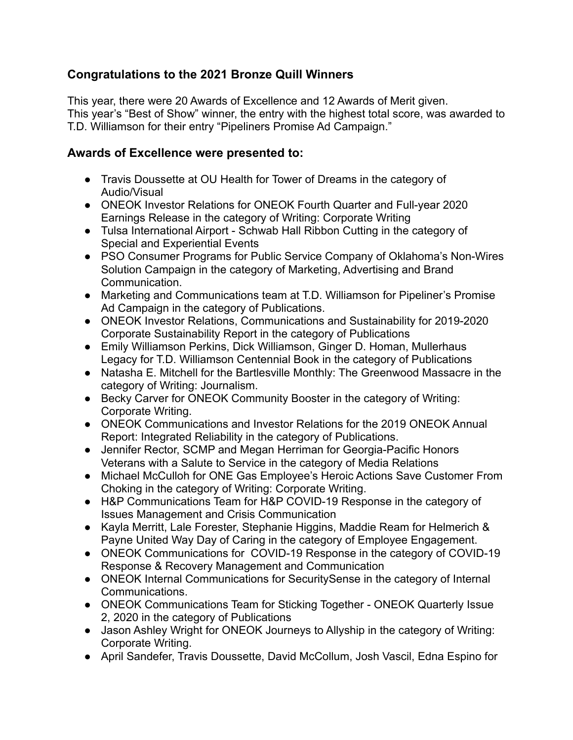## **Congratulations to the 2021 Bronze Quill Winners**

This year, there were 20 Awards of Excellence and 12 Awards of Merit given. This year's "Best of Show" winner, the entry with the highest total score, was awarded to T.D. Williamson for their entry "Pipeliners Promise Ad Campaign."

## **Awards of Excellence were presented to:**

- Travis Doussette at OU Health for Tower of Dreams in the category of Audio/Visual
- ONEOK Investor Relations for ONEOK Fourth Quarter and Full-year 2020 Earnings Release in the category of Writing: Corporate Writing
- Tulsa International Airport Schwab Hall Ribbon Cutting in the category of Special and Experiential Events
- PSO Consumer Programs for Public Service Company of Oklahoma's Non-Wires Solution Campaign in the category of Marketing, Advertising and Brand Communication.
- Marketing and Communications team at T.D. Williamson for Pipeliner's Promise Ad Campaign in the category of Publications.
- ONEOK Investor Relations, Communications and Sustainability for 2019-2020 Corporate Sustainability Report in the category of Publications
- Emily Williamson Perkins, Dick Williamson, Ginger D. Homan, Mullerhaus Legacy for T.D. Williamson Centennial Book in the category of Publications
- Natasha E. Mitchell for the Bartlesville Monthly: The Greenwood Massacre in the category of Writing: Journalism.
- Becky Carver for ONEOK Community Booster in the category of Writing: Corporate Writing.
- ONEOK Communications and Investor Relations for the 2019 ONEOK Annual Report: Integrated Reliability in the category of Publications.
- Jennifer Rector, SCMP and Megan Herriman for Georgia-Pacific Honors Veterans with a Salute to Service in the category of Media Relations
- Michael McCulloh for ONE Gas Employee's Heroic Actions Save Customer From Choking in the category of Writing: Corporate Writing.
- H&P Communications Team for H&P COVID-19 Response in the category of Issues Management and Crisis Communication
- Kayla Merritt, Lale Forester, Stephanie Higgins, Maddie Ream for Helmerich & Payne United Way Day of Caring in the category of Employee Engagement.
- ONEOK Communications for COVID-19 Response in the category of COVID-19 Response & Recovery Management and Communication
- ONEOK Internal Communications for SecuritySense in the category of Internal Communications.
- ONEOK Communications Team for Sticking Together ONEOK Quarterly Issue 2, 2020 in the category of Publications
- Jason Ashley Wright for ONEOK Journeys to Allyship in the category of Writing: Corporate Writing.
- April Sandefer, Travis Doussette, David McCollum, Josh Vascil, Edna Espino for